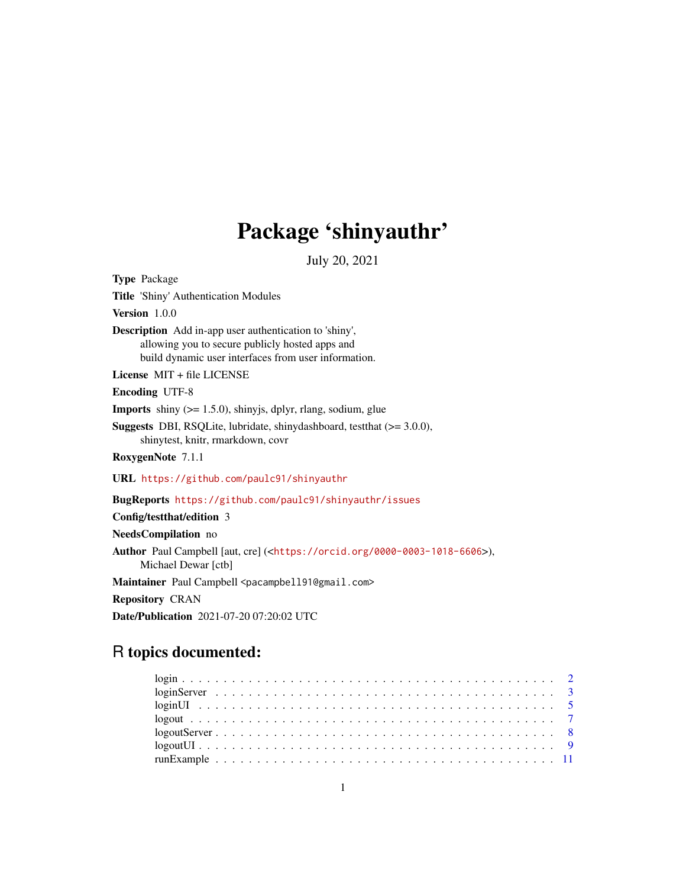## Package 'shinyauthr'

July 20, 2021

<span id="page-0-0"></span>Type Package Title 'Shiny' Authentication Modules Version 1.0.0 Description Add in-app user authentication to 'shiny', allowing you to secure publicly hosted apps and build dynamic user interfaces from user information. License MIT + file LICENSE Encoding UTF-8 **Imports** shiny  $(>= 1.5.0)$ , shinyjs, dplyr, rlang, sodium, glue Suggests DBI, RSQLite, lubridate, shinydashboard, testthat (>= 3.0.0), shinytest, knitr, rmarkdown, covr RoxygenNote 7.1.1 URL <https://github.com/paulc91/shinyauthr> BugReports <https://github.com/paulc91/shinyauthr/issues> Config/testthat/edition 3 NeedsCompilation no Author Paul Campbell [aut, cre] (<<https://orcid.org/0000-0003-1018-6606>>), Michael Dewar [ctb] Maintainer Paul Campbell <pacampbell91@gmail.com> Repository CRAN Date/Publication 2021-07-20 07:20:02 UTC

## R topics documented:

| $logoutServer \ldots \ldots \ldots \ldots \ldots \ldots \ldots \ldots \ldots \ldots \ldots \ldots \ldots$ |  |
|-----------------------------------------------------------------------------------------------------------|--|
|                                                                                                           |  |
|                                                                                                           |  |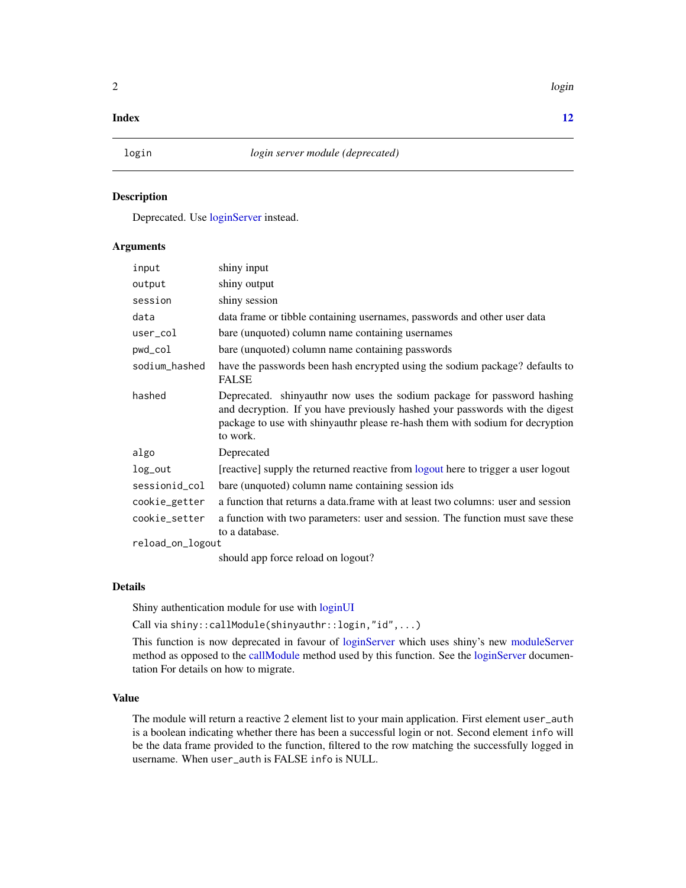#### <span id="page-1-0"></span> $2 \t\t\log n$

#### **Index** [12](#page-11-0)

<span id="page-1-1"></span>

#### Description

Deprecated. Use [loginServer](#page-2-1) instead.

#### Arguments

| input            | shiny input                                                                                                                                                                                                                                          |
|------------------|------------------------------------------------------------------------------------------------------------------------------------------------------------------------------------------------------------------------------------------------------|
| output           | shiny output                                                                                                                                                                                                                                         |
| session          | shiny session                                                                                                                                                                                                                                        |
| data             | data frame or tibble containing usernames, passwords and other user data                                                                                                                                                                             |
| user_col         | bare (unquoted) column name containing usernames                                                                                                                                                                                                     |
| pwd_col          | bare (unquoted) column name containing passwords                                                                                                                                                                                                     |
| sodium_hashed    | have the passwords been hash encrypted using the sodium package? defaults to<br><b>FALSE</b>                                                                                                                                                         |
| hashed           | Deprecated. shinyauthr now uses the sodium package for password hashing<br>and decryption. If you have previously hashed your passwords with the digest<br>package to use with shinyauthr please re-hash them with sodium for decryption<br>to work. |
| algo             | Deprecated                                                                                                                                                                                                                                           |
| log_out          | [reactive] supply the returned reactive from logout here to trigger a user logout                                                                                                                                                                    |
| sessionid_col    | bare (unquoted) column name containing session ids                                                                                                                                                                                                   |
| cookie_getter    | a function that returns a data. frame with at least two columns: user and session                                                                                                                                                                    |
| cookie_setter    | a function with two parameters: user and session. The function must save these<br>to a database.                                                                                                                                                     |
| reload_on_logout |                                                                                                                                                                                                                                                      |
|                  | should app force reload on logout?                                                                                                                                                                                                                   |

Details

Shiny authentication module for use with [loginUI](#page-4-1)

Call via shiny::callModule(shinyauthr::login,"id",...)

This function is now deprecated in favour of [loginServer](#page-2-1) which uses shiny's new [moduleServer](#page-0-0) method as opposed to the [callModule](#page-0-0) method used by this function. See the [loginServer](#page-2-1) documentation For details on how to migrate.

#### Value

The module will return a reactive 2 element list to your main application. First element user\_auth is a boolean indicating whether there has been a successful login or not. Second element info will be the data frame provided to the function, filtered to the row matching the successfully logged in username. When user\_auth is FALSE info is NULL.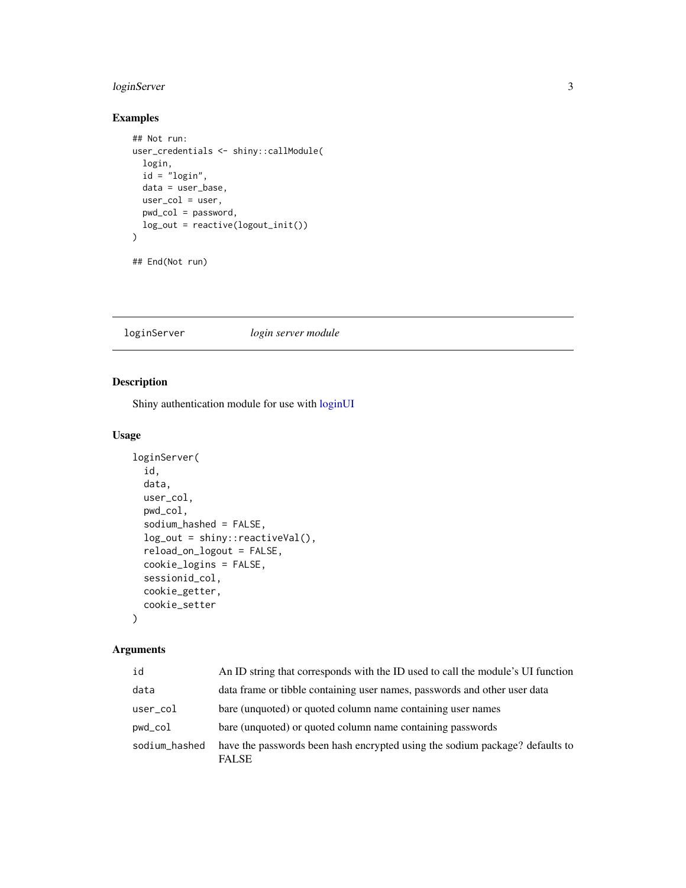#### <span id="page-2-0"></span>loginServer 3

#### Examples

```
## Not run:
user_credentials <- shiny::callModule(
 login,
 id = "login",
 data = user_base,
 user_col = user,
  pwd_col = password,
  log_out = reactive(logout_init())
)
```

```
## End(Not run)
```
#### <span id="page-2-1"></span>loginServer *login server module*

#### Description

Shiny authentication module for use with [loginUI](#page-4-1)

#### Usage

```
loginServer(
  id,
  data,
  user_col,
 pwd_col,
  sodium_hashed = FALSE,
  log_out = shiny::reactiveVal(),
  reload_on_logout = FALSE,
  cookie_logins = FALSE,
  sessionid_col,
  cookie_getter,
  cookie_setter
)
```
#### Arguments

| id            | An ID string that corresponds with the ID used to call the module's UI function              |
|---------------|----------------------------------------------------------------------------------------------|
| data          | data frame or tibble containing user names, passwords and other user data                    |
| user_col      | bare (unquoted) or quoted column name containing user names                                  |
| pwd_col       | bare (unquoted) or quoted column name containing passwords                                   |
| sodium_hashed | have the passwords been hash encrypted using the sodium package? defaults to<br><b>FALSE</b> |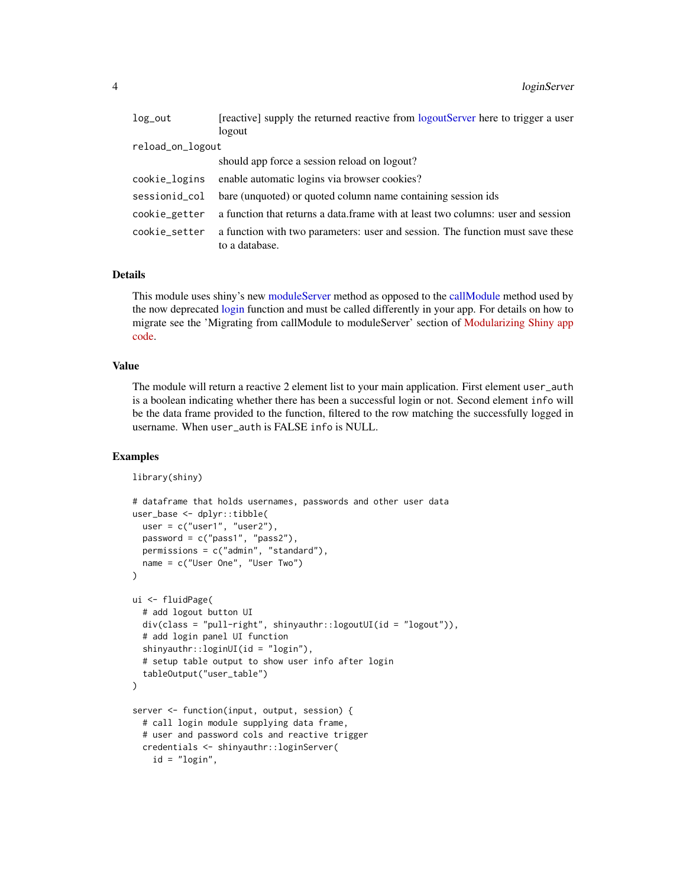<span id="page-3-0"></span>

| $log\_out$       | [reactive] supply the returned reactive from logoutServer here to trigger a user                 |
|------------------|--------------------------------------------------------------------------------------------------|
|                  | logout                                                                                           |
| reload_on_logout |                                                                                                  |
|                  | should app force a session reload on logout?                                                     |
| cookie_logins    | enable automatic logins via browser cookies?                                                     |
| sessionid_col    | bare (unquoted) or quoted column name containing session ids                                     |
| cookie_getter    | a function that returns a data.frame with at least two columns: user and session                 |
| cookie_setter    | a function with two parameters: user and session. The function must save these<br>to a database. |
|                  |                                                                                                  |

#### Details

This module uses shiny's new [moduleServer](#page-0-0) method as opposed to the [callModule](#page-0-0) method used by the now deprecated [login](#page-1-1) function and must be called differently in your app. For details on how to migrate see the 'Migrating from callModule to moduleServer' section of [Modularizing Shiny app](https://shiny.rstudio.com/articles/modules.html) [code.](https://shiny.rstudio.com/articles/modules.html)

#### Value

The module will return a reactive 2 element list to your main application. First element user\_auth is a boolean indicating whether there has been a successful login or not. Second element info will be the data frame provided to the function, filtered to the row matching the successfully logged in username. When user\_auth is FALSE info is NULL.

```
library(shiny)
```

```
# dataframe that holds usernames, passwords and other user data
user_base <- dplyr::tibble(
  user = c("user1", "user2"),
  password = c("pass1", "pass2"),
  permissions = c("admin", "standard"),
  name = c("User One", "User Two")
)
ui <- fluidPage(
  # add logout button UI
  div(class = "pull-right", shinyauthr::logoutUI(id = "logout")),
  # add login panel UI function
  shinyauthr::loginUI(id = "login"),
  # setup table output to show user info after login
  tableOutput("user_table")
\mathcal{L}server <- function(input, output, session) {
  # call login module supplying data frame,
  # user and password cols and reactive trigger
  credentials <- shinyauthr::loginServer(
    id = "login",
```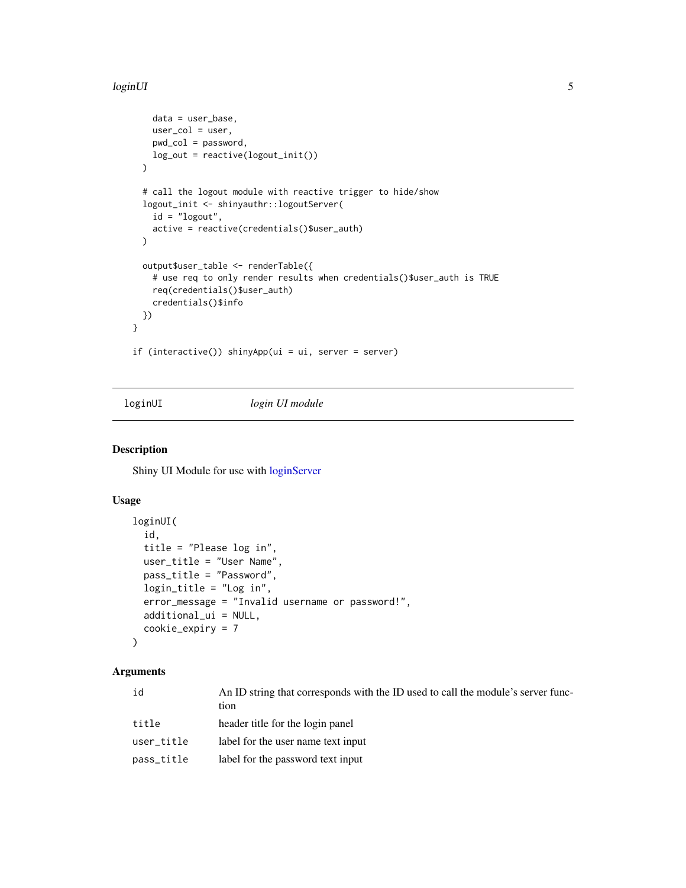#### <span id="page-4-0"></span>loginUI 5

```
data = user_base,
   user_col = user,
   pwd_col = password,
   log_out = reactive(logout_init())
 )
 # call the logout module with reactive trigger to hide/show
 logout_init <- shinyauthr::logoutServer(
   id = "logout",active = reactive(credentials()$user_auth)
 \mathcal{L}output$user_table <- renderTable({
    # use req to only render results when credentials()$user_auth is TRUE
   req(credentials()$user_auth)
   credentials()$info
 })
}
if (interactive()) shinyApp(ui = ui, server = server)
```
#### <span id="page-4-1"></span>loginUI *login UI module*

#### Description

Shiny UI Module for use with [loginServer](#page-2-1)

### Usage

```
loginUI(
  id,
  title = "Please log in",
  user_title = "User Name",
  pass_title = "Password",
  login\_title = "Log in",error_message = "Invalid username or password!",
  additional_ui = NULL,
  cookie_expiry = 7
)
```
#### Arguments

| id         | An ID string that corresponds with the ID used to call the module's server func-<br>tion |
|------------|------------------------------------------------------------------------------------------|
| title      | header title for the login panel                                                         |
| user_title | label for the user name text input                                                       |
| pass_title | label for the password text input                                                        |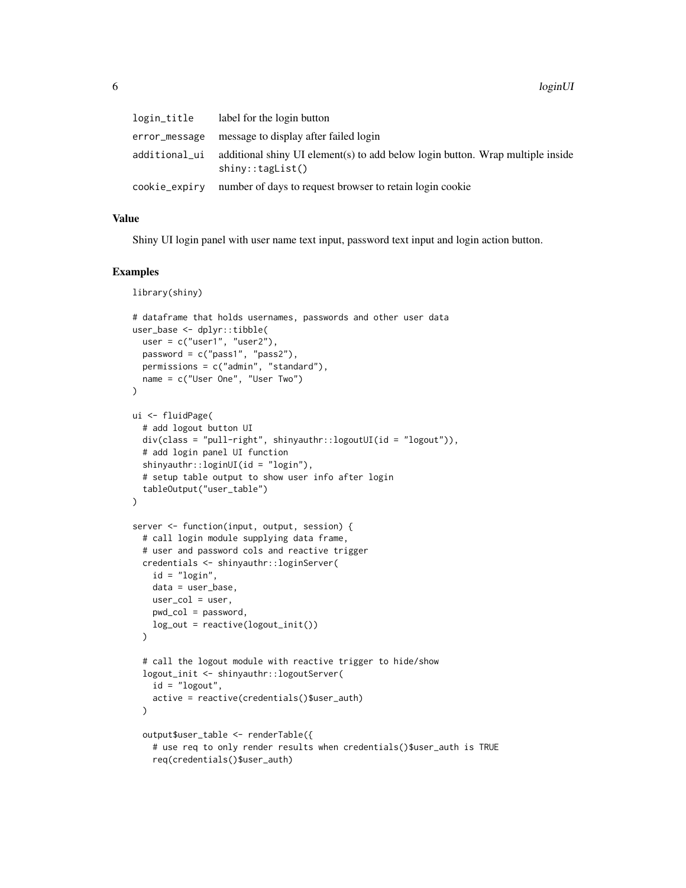| login_title   | label for the login button                                                                                  |
|---------------|-------------------------------------------------------------------------------------------------------------|
| error_message | message to display after failed login                                                                       |
| additional_ui | additional shiny UI element(s) to add below login button. Wrap multiple inside<br>$\text{shiny::tagList()}$ |
| cookie_expirv | number of days to request browser to retain login cookie                                                    |

#### Value

Shiny UI login panel with user name text input, password text input and login action button.

#### Examples

library(shiny)

```
# dataframe that holds usernames, passwords and other user data
user_base <- dplyr::tibble(
  user = c("user1", "user2"),
  password = c("pass1", "pass2"),
  permissions = c("admin", "standard"),
  name = c("User One", "User Two")
)
ui <- fluidPage(
  # add logout button UI
  div(class = "pull-right", shinyauthr::logoutUI(id = "logout")),
  # add login panel UI function
  shinyauthr::loginUI(id = "login").# setup table output to show user info after login
  tableOutput("user_table")
\lambdaserver <- function(input, output, session) {
  # call login module supplying data frame,
  # user and password cols and reactive trigger
  credentials <- shinyauthr::loginServer(
    id = "login",
   data = user_base,
   user\_col = user,
   pwd_col = password,
   log_out = reactive(logout_init())
  \lambda# call the logout module with reactive trigger to hide/show
  logout_init <- shinyauthr::logoutServer(
    id = "logout",
    active = reactive(credentials()$user_auth)
  )
  output$user_table <- renderTable({
    # use req to only render results when credentials()$user_auth is TRUE
    req(credentials()$user_auth)
```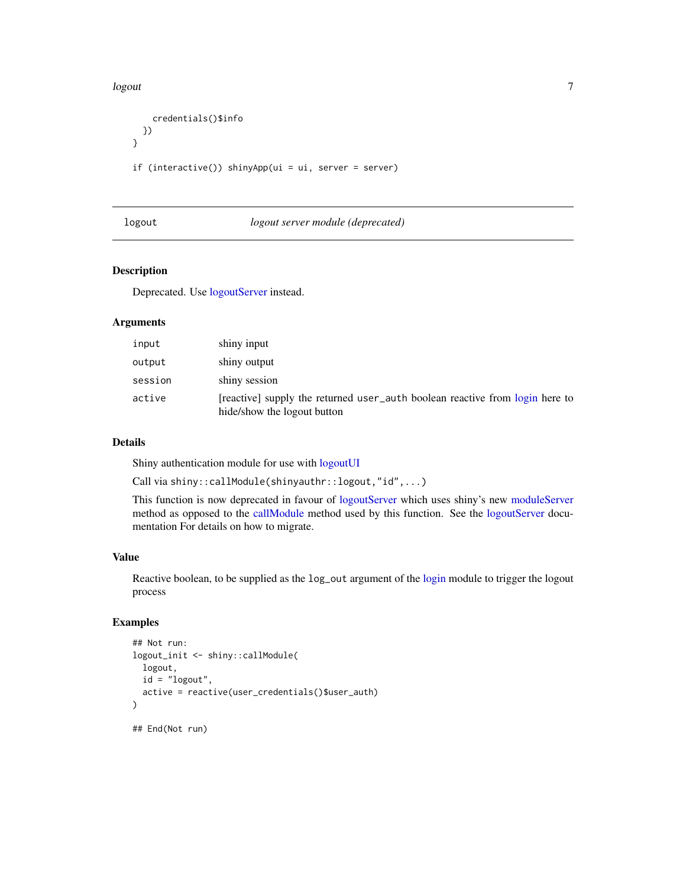<span id="page-6-0"></span>logout the contract of the contract of the contract of the contract of the contract of the contract of the contract of the contract of the contract of the contract of the contract of the contract of the contract of the con

```
credentials()$info
 })
}
if (interactive()) shinyApp(ui = ui, server = server)
```
#### <span id="page-6-1"></span>logout *logout server module (deprecated)*

#### Description

Deprecated. Use [logoutServer](#page-7-1) instead.

#### Arguments

| input   | shiny input                                                                                                 |
|---------|-------------------------------------------------------------------------------------------------------------|
| output  | shiny output                                                                                                |
| session | shiny session                                                                                               |
| active  | [reactive] supply the returned user_auth boolean reactive from login here to<br>hide/show the logout button |

#### Details

Shiny authentication module for use with [logoutUI](#page-8-1)

Call via shiny::callModule(shinyauthr::logout,"id",...)

This function is now deprecated in favour of [logoutServer](#page-7-1) which uses shiny's new [moduleServer](#page-0-0) method as opposed to the [callModule](#page-0-0) method used by this function. See the [logoutServer](#page-7-1) documentation For details on how to migrate.

#### Value

Reactive boolean, to be supplied as the  $log_$ out argument of the [login](#page-1-1) module to trigger the logout process

```
## Not run:
logout_init <- shiny::callModule(
  logout,
  id = "logout",
  active = reactive(user_credentials()$user_auth)
)
## End(Not run)
```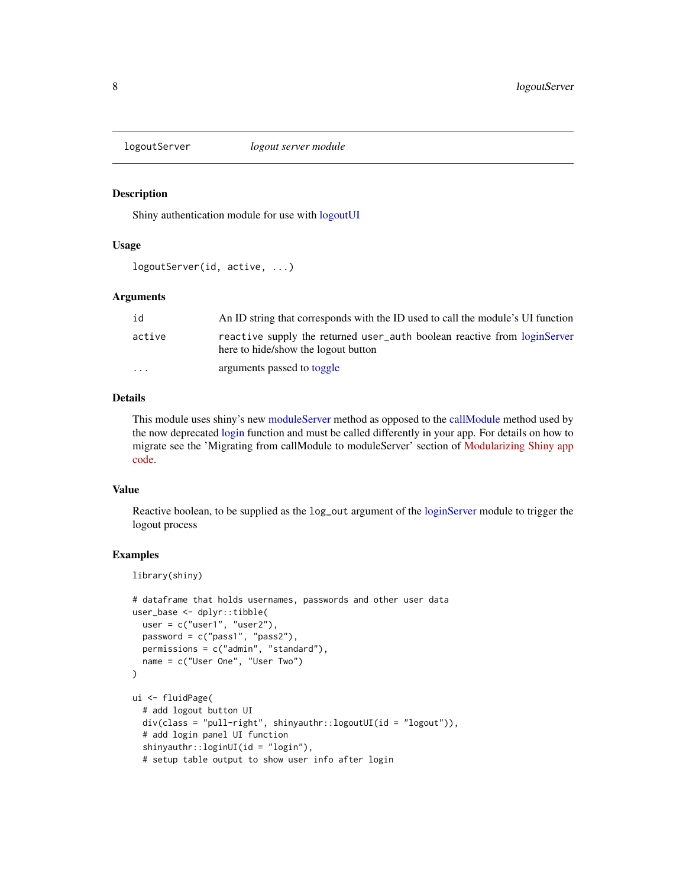<span id="page-7-1"></span><span id="page-7-0"></span>

#### Description

Shiny authentication module for use with [logoutUI](#page-8-1)

#### Usage

```
logoutServer(id, active, ...)
```
#### Arguments

| id                      | An ID string that corresponds with the ID used to call the module's UI function                                 |
|-------------------------|-----------------------------------------------------------------------------------------------------------------|
| active                  | reactive supply the returned user_auth boolean reactive from loginServer<br>here to hide/show the logout button |
| $\cdot$ $\cdot$ $\cdot$ | arguments passed to toggle                                                                                      |

#### Details

This module uses shiny's new [moduleServer](#page-0-0) method as opposed to the [callModule](#page-0-0) method used by the now deprecated [login](#page-1-1) function and must be called differently in your app. For details on how to migrate see the 'Migrating from callModule to moduleServer' section of [Modularizing Shiny app](https://shiny.rstudio.com/articles/modules.html) [code.](https://shiny.rstudio.com/articles/modules.html)

#### Value

Reactive boolean, to be supplied as the log\_out argument of the [loginServer](#page-2-1) module to trigger the logout process

```
library(shiny)
```

```
# dataframe that holds usernames, passwords and other user data
user_base <- dplyr::tibble(
 user = c("user1", "user2"),
 password = c("pass1", "pass2"),
 permissions = c("admin", "standard"),
 name = c("User One", "User Two")
\mathcal{L}ui <- fluidPage(
 # add logout button UI
 div(class = "pull-right", shinyauthr::logoutUI(id = "logout")),
 # add login panel UI function
 shinyauthr::loginUI(id = "login"),
 # setup table output to show user info after login
```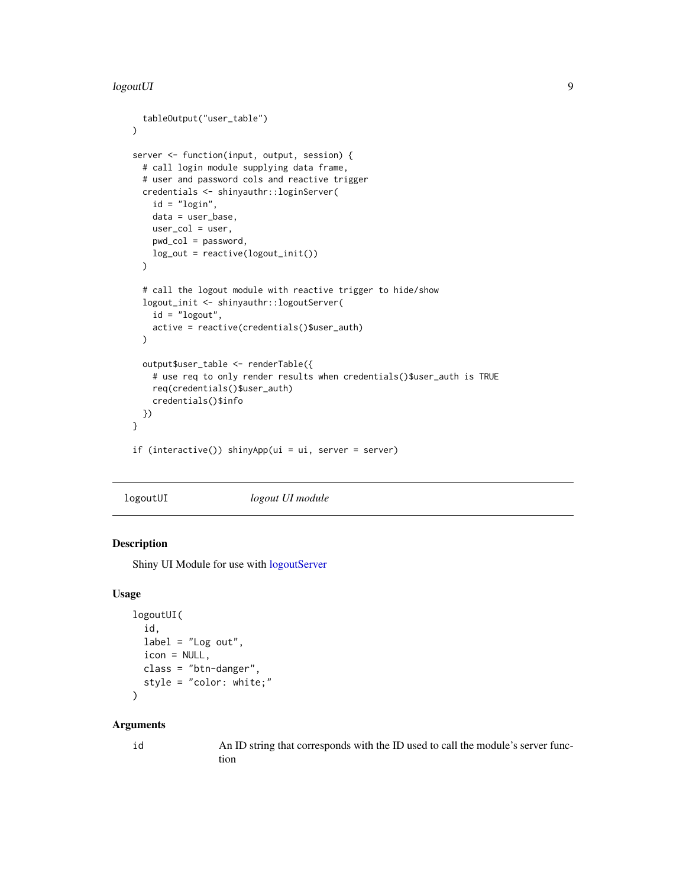#### <span id="page-8-0"></span>logoutUI 9

```
tableOutput("user_table")
\mathcal{L}server <- function(input, output, session) {
 # call login module supplying data frame,
 # user and password cols and reactive trigger
 credentials <- shinyauthr::loginServer(
   id = "login",
   data = user_base,
   user_col = user,
   pwd_col = password,
   log_out = reactive(logout_init())
 )
 # call the logout module with reactive trigger to hide/show
 logout_init <- shinyauthr::logoutServer(
   id = "logout",
   active = reactive(credentials()$user_auth)
 )
 output$user_table <- renderTable({
    # use req to only render results when credentials()$user_auth is TRUE
   req(credentials()$user_auth)
    credentials()$info
 })
}
if (interactive()) shinyApp(ui = ui, server = server)
```
<span id="page-8-1"></span>logoutUI *logout UI module*

#### Description

Shiny UI Module for use with [logoutServer](#page-7-1)

#### Usage

```
logoutUI(
  id,
  label = "Log out",icon = NULL,
 class = "btn-danger",
  style = "color: white;"
\lambda
```
#### Arguments

id An ID string that corresponds with the ID used to call the module's server function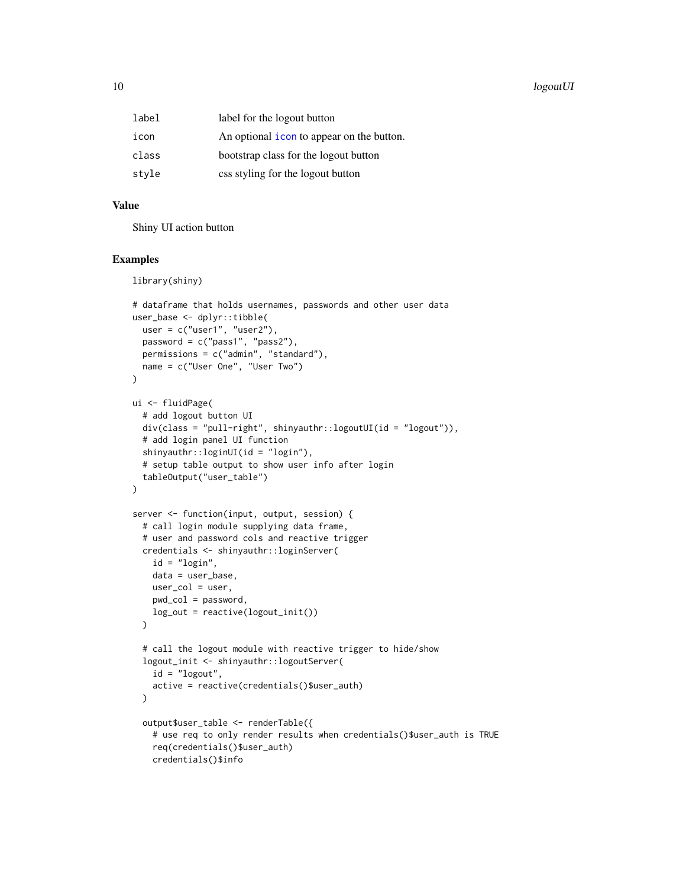<span id="page-9-0"></span>

| label | label for the logout button               |
|-------|-------------------------------------------|
| icon  | An optional icon to appear on the button. |
| class | bootstrap class for the logout button     |
| style | css styling for the logout button         |

#### Value

Shiny UI action button

#### Examples

library(shiny)

```
# dataframe that holds usernames, passwords and other user data
user_base <- dplyr::tibble(
  user = c("user1", "user2"),password = c("pass1", "pass2"),
  permissions = c("admin", "standard"),
  name = c("User One", "User Two")
)
ui <- fluidPage(
  # add logout button UI
  div(class = "pull-right", shinyauthr::logoutUI(id = "logout")),
  # add login panel UI function
  shinyauthr::loginUI(id = "login"),
  # setup table output to show user info after login
  tableOutput("user_table")
\lambdaserver <- function(input, output, session) {
  # call login module supplying data frame,
  # user and password cols and reactive trigger
  credentials <- shinyauthr::loginServer(
    id = "login",data = user_base,
   user_col = user,
   pwd_col = password,
   log_out = reactive(logout_init())
  \lambda# call the logout module with reactive trigger to hide/show
  logout_init <- shinyauthr::logoutServer(
    id = "logout",active = reactive(credentials()$user_auth)
  )
  output$user_table <- renderTable({
    # use req to only render results when credentials()$user_auth is TRUE
    req(credentials()$user_auth)
    credentials()$info
```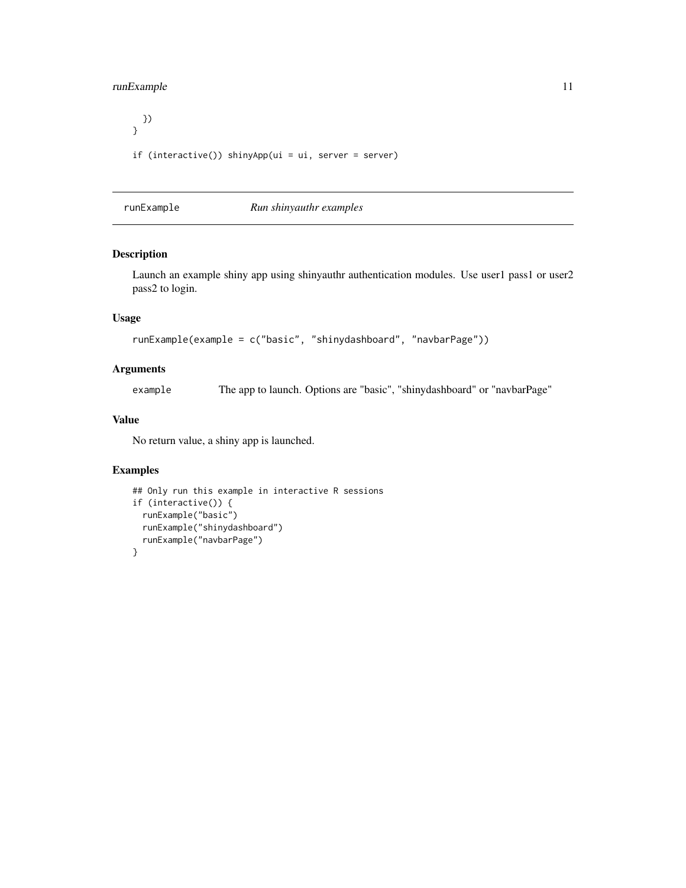#### <span id="page-10-0"></span>runExample 11

```
})
}
if (interactive()) shinyApp(ui = ui, server = server)
```
runExample *Run shinyauthr examples*

#### Description

Launch an example shiny app using shinyauthr authentication modules. Use user1 pass1 or user2 pass2 to login.

#### Usage

```
runExample(example = c("basic", "shinydashboard", "navbarPage"))
```
#### Arguments

example The app to launch. Options are "basic", "shinydashboard" or "navbarPage"

#### Value

No return value, a shiny app is launched.

```
## Only run this example in interactive R sessions
if (interactive()) {
  runExample("basic")
  runExample("shinydashboard")
  runExample("navbarPage")
}
```